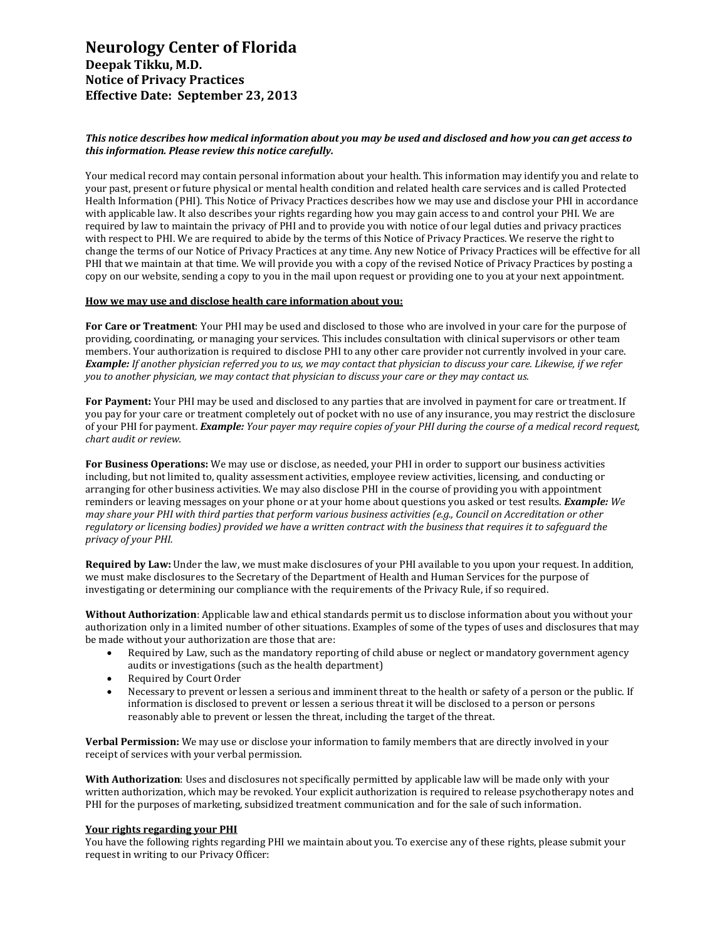# **Neurology Center of Florida Deepak Tikku, M.D. Notice of Privacy Practices Effective Date: September 23, 2013**

## *This notice describes how medical information about you may be used and disclosed and how you can get access to this information. Please review this notice carefully.*

Your medical record may contain personal information about your health. This information may identify you and relate to your past, present or future physical or mental health condition and related health care services and is called Protected Health Information (PHI). This Notice of Privacy Practices describes how we may use and disclose your PHI in accordance with applicable law. It also describes your rights regarding how you may gain access to and control your PHI. We are required by law to maintain the privacy of PHI and to provide you with notice of our legal duties and privacy practices with respect to PHI. We are required to abide by the terms of this Notice of Privacy Practices. We reserve the right to change the terms of our Notice of Privacy Practices at any time. Any new Notice of Privacy Practices will be effective for all PHI that we maintain at that time. We will provide you with a copy of the revised Notice of Privacy Practices by posting a copy on our website, sending a copy to you in the mail upon request or providing one to you at your next appointment.

### **How we may use and disclose health care information about you:**

**For Care or Treatment**: Your PHI may be used and disclosed to those who are involved in your care for the purpose of providing, coordinating, or managing your services. This includes consultation with clinical supervisors or other team members. Your authorization is required to disclose PHI to any other care provider not currently involved in your care. *Example: If another physician referred you to us, we may contact that physician to discuss your care. Likewise, if we refer you to another physician, we may contact that physician to discuss your care or they may contact us.*

**For Payment:** Your PHI may be used and disclosed to any parties that are involved in payment for care or treatment. If you pay for your care or treatment completely out of pocket with no use of any insurance, you may restrict the disclosure of your PHI for payment. *Example: Your payer may require copies of your PHI during the course of a medical record request, chart audit or review.*

**For Business Operations:** We may use or disclose, as needed, your PHI in order to support our business activities including, but not limited to, quality assessment activities, employee review activities, licensing, and conducting or arranging for other business activities. We may also disclose PHI in the course of providing you with appointment reminders or leaving messages on your phone or at your home about questions you asked or test results. *Example: We may share your PHI with third parties that perform various business activities (e.g., Council on Accreditation or other regulatory or licensing bodies) provided we have a written contract with the business that requires it to safeguard the privacy of your PHI.*

**Required by Law:** Under the law, we must make disclosures of your PHI available to you upon your request. In addition, we must make disclosures to the Secretary of the Department of Health and Human Services for the purpose of investigating or determining our compliance with the requirements of the Privacy Rule, if so required.

**Without Authorization**: Applicable law and ethical standards permit us to disclose information about you without your authorization only in a limited number of other situations. Examples of some of the types of uses and disclosures that may be made without your authorization are those that are:

- Required by Law, such as the mandatory reporting of child abuse or neglect or mandatory government agency audits or investigations (such as the health department)
- Required by Court Order
- Necessary to prevent or lessen a serious and imminent threat to the health or safety of a person or the public. If information is disclosed to prevent or lessen a serious threat it will be disclosed to a person or persons reasonably able to prevent or lessen the threat, including the target of the threat.

**Verbal Permission:** We may use or disclose your information to family members that are directly involved in your receipt of services with your verbal permission.

**With Authorization**: Uses and disclosures not specifically permitted by applicable law will be made only with your written authorization, which may be revoked. Your explicit authorization is required to release psychotherapy notes and PHI for the purposes of marketing, subsidized treatment communication and for the sale of such information.

#### **Your rights regarding your PHI**

You have the following rights regarding PHI we maintain about you. To exercise any of these rights, please submit your request in writing to our Privacy Officer: